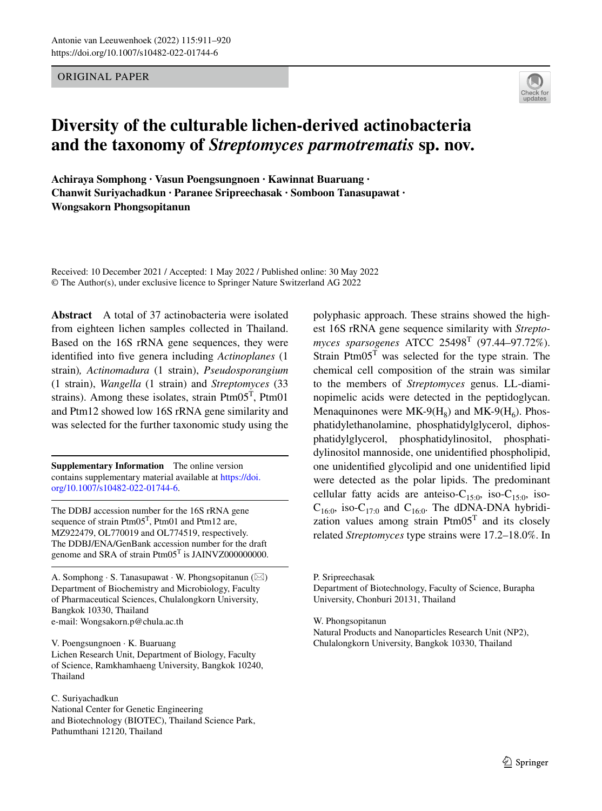ORIGINAL PAPER



# **Diversity of the culturable lichen‑derived actinobacteria and the taxonomy of** *Streptomyces parmotrematis* **sp. nov.**

**Achiraya Somphong · Vasun Poengsungnoen · Kawinnat Buaruang · Chanwit Suriyachadkun · Paranee Sripreechasak · Somboon Tanasupawat · Wongsakorn Phongsopitanun**

Received: 10 December 2021 / Accepted: 1 May 2022 / Published online: 30 May 2022 © The Author(s), under exclusive licence to Springer Nature Switzerland AG 2022

**Abstract** A total of 37 actinobacteria were isolated from eighteen lichen samples collected in Thailand. Based on the 16S rRNA gene sequences, they were identifed into fve genera including *Actinoplanes* (1 strain)*, Actinomadura* (1 strain), *Pseudosporangium* (1 strain), *Wangella* (1 strain) and *Streptomyces* (33 strains). Among these isolates, strain  $Ptm05<sup>T</sup>$ ,  $Ptm01$ and Ptm12 showed low 16S rRNA gene similarity and was selected for the further taxonomic study using the

**Supplementary Information** The online version contains supplementary material available at [https://doi.](https://doi.org/10.1007/s10482-022-01744-6) [org/10.1007/s10482-022-01744-6.](https://doi.org/10.1007/s10482-022-01744-6)

The DDBJ accession number for the 16S rRNA gene sequence of strain  $Ptm05<sup>T</sup>$ ,  $Ptm01$  and  $Ptm12$  are, MZ922479, OL770019 and OL774519, respectively. The DDBJ/ENA/GenBank accession number for the draft genome and SRA of strain Ptm05<sup>T</sup> is JAINVZ000000000.

A. Somphong  $\cdot$  S. Tanasupawat  $\cdot$  W. Phongsopitanun ( $\boxtimes$ ) Department of Biochemistry and Microbiology, Faculty of Pharmaceutical Sciences, Chulalongkorn University, Bangkok 10330, Thailand e-mail: Wongsakorn.p@chula.ac.th

V. Poengsungnoen · K. Buaruang Lichen Research Unit, Department of Biology, Faculty of Science, Ramkhamhaeng University, Bangkok 10240, Thailand

C. Suriyachadkun

National Center for Genetic Engineering and Biotechnology (BIOTEC), Thailand Science Park, Pathumthani 12120, Thailand

polyphasic approach. These strains showed the highest 16S rRNA gene sequence similarity with *Streptomyces sparsogenes* ATCC 25498T (97.44–97.72%). Strain  $Ptm05<sup>T</sup>$  was selected for the type strain. The chemical cell composition of the strain was similar to the members of *Streptomyces* genus. LL-diaminopimelic acids were detected in the peptidoglycan. Menaquinones were  $MK-9(H_8)$  and  $MK-9(H_6)$ . Phosphatidylethanolamine, phosphatidylglycerol, diphosphatidylglycerol, phosphatidylinositol, phosphatidylinositol mannoside, one unidentifed phospholipid, one unidentifed glycolipid and one unidentifed lipid were detected as the polar lipids. The predominant cellular fatty acids are anteiso- $C_{15:0}$ , iso- $C_{15:0}$ , iso- $C_{16:0}$ , iso- $C_{17:0}$  and  $C_{16:0}$ . The dDNA-DNA hybridization values among strain  $Ptm05<sup>T</sup>$  and its closely related *Streptomyces* type strains were 17.2–18.0%. In

P. Sripreechasak Department of Biotechnology, Faculty of Science, Burapha University, Chonburi 20131, Thailand

W. Phongsopitanun

Natural Products and Nanoparticles Research Unit (NP2), Chulalongkorn University, Bangkok 10330, Thailand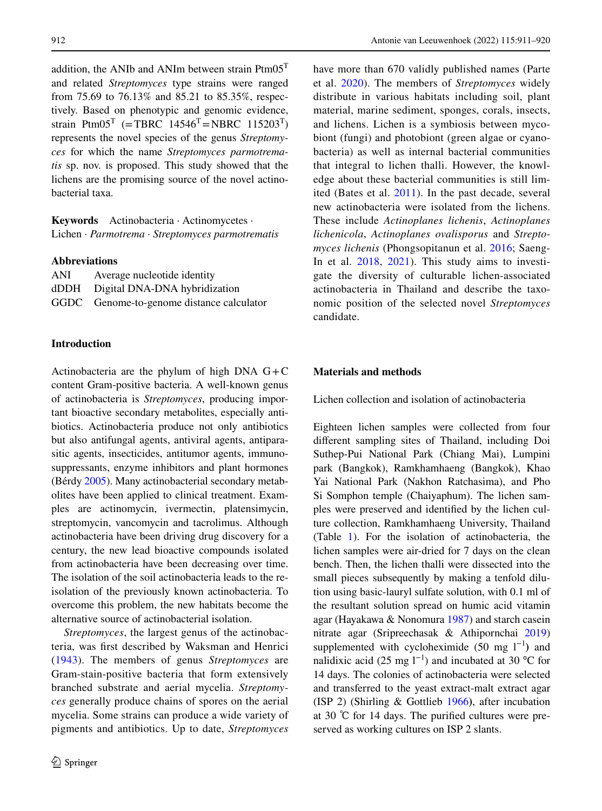addition, the ANIb and ANIm between strain  $Ptm05<sup>T</sup>$ and related *Streptomyces* type strains were ranged from 75.69 to 76.13% and 85.21 to 85.35%, respectively. Based on phenotypic and genomic evidence, strain Ptm $05^T$  (=TBRC 14546<sup>T</sup>=NBRC 115203<sup>T</sup>) represents the novel species of the genus *Streptomyces* for which the name *Streptomyces parmotrematis* sp. nov. is proposed. This study showed that the lichens are the promising source of the novel actinobacterial taxa.

**Keywords** Actinobacteria · Actinomycetes · Lichen · *Parmotrema* · *Streptomyces parmotrematis*

## **Abbreviations**

| ANI | Average nucleotide identity               |
|-----|-------------------------------------------|
|     | dDDH Digital DNA-DNA hybridization        |
|     | GGDC Genome-to-genome distance calculator |

## **Introduction**

Actinobacteria are the phylum of high DNA  $G+C$ content Gram-positive bacteria. A well-known genus of actinobacteria is *Streptomyces*, producing important bioactive secondary metabolites, especially antibiotics. Actinobacteria produce not only antibiotics but also antifungal agents, antiviral agents, antiparasitic agents, insecticides, antitumor agents, immunosuppressants, enzyme inhibitors and plant hormones (Bérdy [2005\)](#page-8-0). Many actinobacterial secondary metabolites have been applied to clinical treatment. Examples are actinomycin, ivermectin, platensimycin, streptomycin, vancomycin and tacrolimus. Although actinobacteria have been driving drug discovery for a century, the new lead bioactive compounds isolated from actinobacteria have been decreasing over time. The isolation of the soil actinobacteria leads to the reisolation of the previously known actinobacteria. To overcome this problem, the new habitats become the alternative source of actinobacterial isolation.

*Streptomyces*, the largest genus of the actinobacteria, was frst described by Waksman and Henrici [\(1943\)](#page-9-0). The members of genus *Streptomyces* are Gram-stain-positive bacteria that form extensively branched substrate and aerial mycelia. *Streptomyces* generally produce chains of spores on the aerial mycelia. Some strains can produce a wide variety of pigments and antibiotics. Up to date, *Streptomyces*

have more than 670 validly published names (Parte et al. [2020\)](#page-8-1). The members of *Streptomyces* widely distribute in various habitats including soil, plant material, marine sediment, sponges, corals, insects, and lichens. Lichen is a symbiosis between mycobiont (fungi) and photobiont (green algae or cyanobacteria) as well as internal bacterial communities that integral to lichen thalli. However, the knowledge about these bacterial communities is still limited (Bates et al. [2011\)](#page-8-2). In the past decade, several new actinobacteria were isolated from the lichens. These include *Actinoplanes lichenis*, *Actinoplanes lichenicola*, *Actinoplanes ovalisporus* and *Streptomyces lichenis* (Phongsopitanun et al. [2016;](#page-8-3) Saeng-In et al.  $2018$ ,  $2021$ ). This study aims to investigate the diversity of culturable lichen-associated actinobacteria in Thailand and describe the taxonomic position of the selected novel *Streptomyces* candidate.

# **Materials and methods**

Lichen collection and isolation of actinobacteria

Eighteen lichen samples were collected from four diferent sampling sites of Thailand, including Doi Suthep-Pui National Park (Chiang Mai), Lumpini park (Bangkok), Ramkhamhaeng (Bangkok), Khao Yai National Park (Nakhon Ratchasima), and Pho Si Somphon temple (Chaiyaphum). The lichen samples were preserved and identifed by the lichen culture collection, Ramkhamhaeng University, Thailand (Table [1](#page-2-0)). For the isolation of actinobacteria, the lichen samples were air-dried for 7 days on the clean bench. Then, the lichen thalli were dissected into the small pieces subsequently by making a tenfold dilution using basic-lauryl sulfate solution, with 0.1 ml of the resultant solution spread on humic acid vitamin agar (Hayakawa & Nonomura [1987\)](#page-8-6) and starch casein nitrate agar (Sripreechasak & Athipornchai [2019\)](#page-9-1) supplemented with cycloheximide  $(50 \text{ mg } l^{-1})$  and nalidixic acid (25 mg  $1^{-1}$ ) and incubated at 30 °C for 14 days. The colonies of actinobacteria were selected and transferred to the yeast extract-malt extract agar (ISP 2) (Shirling & Gottlieb [1966](#page-8-7)**)**, after incubation at 30 ℃ for 14 days. The purifed cultures were preserved as working cultures on ISP 2 slants.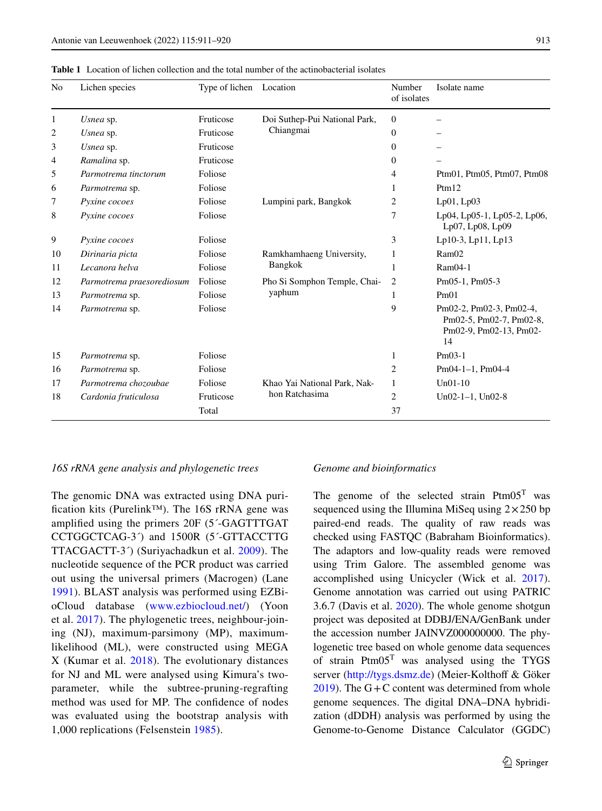<span id="page-2-0"></span>

| <b>Table 1</b> Location of lichen collection and the total number of the actinobacterial isolates |
|---------------------------------------------------------------------------------------------------|
|---------------------------------------------------------------------------------------------------|

| N <sub>0</sub> | Lichen species                       | Type of lichen Location |                               | Number<br>of isolates | Isolate name                                                                       |  |
|----------------|--------------------------------------|-------------------------|-------------------------------|-----------------------|------------------------------------------------------------------------------------|--|
| 1              | Usnea sp.                            | Fruticose               | Doi Suthep-Pui National Park, | $\Omega$              |                                                                                    |  |
| 2              | Usnea sp.                            | Fruticose               | Chiangmai                     | $\mathbf{0}$          |                                                                                    |  |
| 3              | Usnea sp.                            | Fruticose               |                               | $\Omega$              |                                                                                    |  |
| $\overline{4}$ | Ramalina sp.                         | Fruticose               |                               | $\Omega$              |                                                                                    |  |
| 5              | Parmotrema tinctorum                 | Foliose                 |                               | 4                     | Ptm01, Ptm05, Ptm07, Ptm08                                                         |  |
| 6              | Parmotrema sp.                       | Foliose                 |                               | 1                     | Ptm12                                                                              |  |
| 7              | Pyxine cocoes                        | Foliose                 | Lumpini park, Bangkok         |                       | $Lp01$ , $Lp03$                                                                    |  |
| 8              | Pyxine cocoes                        | Foliose                 |                               | 7                     | Lp04, Lp05-1, Lp05-2, Lp06,<br>Lp07, Lp08, Lp09                                    |  |
| 9              | Pyxine cocoes                        | Foliose                 |                               | 3                     | Lp10-3, Lp11, Lp13                                                                 |  |
| 10             | Dirinaria picta                      | Foliose                 | Ramkhamhaeng University,      | 1                     | RamO2                                                                              |  |
| 11             | Lecanora helva                       | Foliose                 | <b>Bangkok</b>                | 1                     | $Ram04-1$                                                                          |  |
| 12             | Foliose<br>Parmotrema praesorediosum |                         | Pho Si Somphon Temple, Chai-  | $\overline{2}$        | Pm05-1, Pm05-3                                                                     |  |
| 13             | Parmotrema sp.                       | Foliose                 | yaphum                        | 1                     | Pm01                                                                               |  |
| 14             | Foliose<br>Parmotrema sp.            |                         |                               | 9                     | Pm02-2, Pm02-3, Pm02-4,<br>Pm02-5, Pm02-7, Pm02-8,<br>Pm02-9, Pm02-13, Pm02-<br>14 |  |
| 15             | Parmotrema sp.                       | Foliose                 |                               | 1                     | $Pm03-1$                                                                           |  |
| 16             | Parmotrema sp.                       | Foliose                 |                               | 2                     | $Pm04-1-1$ , $Pm04-4$                                                              |  |
| 17             | Parmotrema chozoubae                 | Foliose                 | Khao Yai National Park, Nak-  | 1                     | $Un01-10$                                                                          |  |
| 18             | Cardonia fruticulosa                 | Fruticose               | hon Ratchasima                | $\overline{c}$        | $Un02-1-1$ , $Un02-8$                                                              |  |
|                |                                      | Total                   |                               | 37                    |                                                                                    |  |

## *16S rRNA gene analysis and phylogenetic trees*

The genomic DNA was extracted using DNA purifcation kits (Purelink™). The 16S rRNA gene was amplifed using the primers 20F (5´-GAGTTTGAT CCTGGCTCAG-3´) and 1500R (5´-GTTACCTTG TTACGACTT-3´) (Suriyachadkun et al. [2009](#page-9-2)). The nucleotide sequence of the PCR product was carried out using the universal primers (Macrogen) (Lane [1991](#page-8-8)). BLAST analysis was performed using EZBioCloud database ([www.ezbiocloud.net/](http://www.ezbiocloud.net/)) (Yoon et al. [2017](#page-9-3)). The phylogenetic trees, neighbour-joining (NJ), maximum-parsimony (MP), maximumlikelihood (ML), were constructed using MEGA X (Kumar et al. [2018](#page-8-9)). The evolutionary distances for NJ and ML were analysed using Kimura's twoparameter, while the subtree-pruning-regrafting method was used for MP. The confdence of nodes was evaluated using the bootstrap analysis with 1,000 replications (Felsenstein [1985\)](#page-8-10).

## *Genome and bioinformatics*

The genome of the selected strain  $Ptm05<sup>T</sup>$  was sequenced using the Illumina MiSeq using  $2 \times 250$  bp paired-end reads. The quality of raw reads was checked using FASTQC (Babraham Bioinformatics). The adaptors and low-quality reads were removed using Trim Galore. The assembled genome was accomplished using Unicycler (Wick et al. [2017\)](#page-9-4). Genome annotation was carried out using PATRIC 3.6.7 (Davis et al. [2020\)](#page-8-11). The whole genome shotgun project was deposited at DDBJ/ENA/GenBank under the accession number JAINVZ000000000. The phylogenetic tree based on whole genome data sequences of strain  $Ptm05<sup>T</sup>$  was analysed using the TYGS server ([http://tygs.dsmz.de\)](http://tygs.dsmz.de) (Meier-Kolthoff & Göker [2019\)](#page-8-12). The  $G + C$  content was determined from whole genome sequences. The digital DNA–DNA hybridization (dDDH) analysis was performed by using the Genome-to-Genome Distance Calculator (GGDC)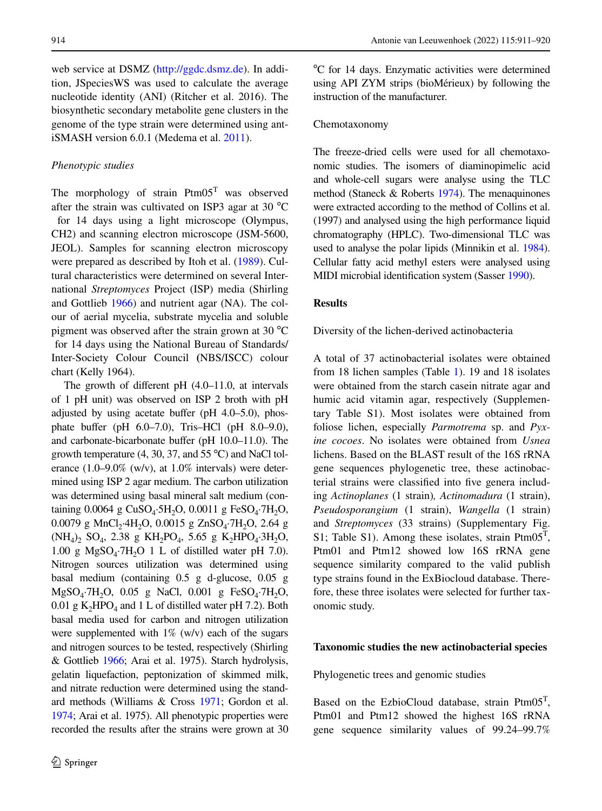web service at DSMZ [\(http://ggdc.dsmz.de](http://ggdc.dsmz.de)). In addition, JSpeciesWS was used to calculate the average nucleotide identity (ANI) (Ritcher et al. 2016). The biosynthetic secondary metabolite gene clusters in the genome of the type strain were determined using antiSMASH version 6.0.1 (Medema et al. [2011](#page-8-13)).

# *Phenotypic studies*

The morphology of strain  $Ptm05<sup>T</sup>$  was observed after the strain was cultivated on ISP3 agar at 30  $^{\circ}$ C for 14 days using a light microscope (Olympus, CH2) and scanning electron microscope (JSM-5600, JEOL). Samples for scanning electron microscopy were prepared as described by Itoh et al. ([1989\)](#page-8-14). Cultural characteristics were determined on several International *Streptomyces* Project (ISP) media (Shirling and Gottlieb [1966\)](#page-8-7) and nutrient agar (NA). The colour of aerial mycelia, substrate mycelia and soluble pigment was observed after the strain grown at 30 °C for 14 days using the National Bureau of Standards/ Inter-Society Colour Council **(**NBS/ISCC) colour chart (Kelly 1964).

The growth of diferent pH (4.0–11.0, at intervals of 1 pH unit) was observed on ISP 2 broth with pH adjusted by using acetate buffer ( $pH$  4.0–5.0), phosphate bufer (pH 6.0–7.0), Tris–HCl (pH 8.0–9.0), and carbonate-bicarbonate buffer (pH 10.0–11.0). The growth temperature  $(4, 30, 37,$  and  $55 °C$ ) and NaCl tolerance (1.0–9.0% (w/v), at 1.0% intervals) were determined using ISP 2 agar medium. The carbon utilization was determined using basal mineral salt medium (containing  $0.0064$  g CuSO<sub>4</sub>·5H<sub>2</sub>O,  $0.0011$  g FeSO<sub>4</sub>·7H<sub>2</sub>O, 0.0079 g MnCl<sub>2</sub>·4H<sub>2</sub>O, 0.0015 g ZnSO<sub>4</sub>·7H<sub>2</sub>O, 2.64 g  $(NH_4)$ <sub>2</sub>,  $SO_4$ , 2.38 g KH<sub>2</sub>PO<sub>4</sub>, 5.65 g K<sub>2</sub>HPO<sub>4</sub>·3H<sub>2</sub>O, 1.00 g  $MgSO<sub>4</sub>·7H<sub>2</sub>O$  1 L of distilled water pH 7.0). Nitrogen sources utilization was determined using basal medium (containing 0.5 g d-glucose, 0.05 g  $MgSO_4$ -7H<sub>2</sub>O, 0.05 g NaCl, 0.001 g FeSO<sub>4</sub>-7H<sub>2</sub>O, 0.01 g  $K_2HPO_4$  and 1 L of distilled water pH 7.2). Both basal media used for carbon and nitrogen utilization were supplemented with  $1\%$  (w/v) each of the sugars and nitrogen sources to be tested, respectively (Shirling & Gottlieb [1966;](#page-8-7) Arai et al. 1975). Starch hydrolysis, gelatin liquefaction, peptonization of skimmed milk, and nitrate reduction were determined using the standard methods (Williams & Cross [1971;](#page-9-5) Gordon et al. [1974](#page-8-15); Arai et al. 1975). All phenotypic properties were recorded the results after the strains were grown at 30

๐ C for 14 days. Enzymatic activities were determined using API ZYM strips (bioMérieux) by following the instruction of the manufacturer.

## Chemotaxonomy

The freeze-dried cells were used for all chemotaxonomic studies. The isomers of diaminopimelic acid and whole-cell sugars were analyse using the TLC method (Staneck & Roberts [1974](#page-9-6)). The menaquinones were extracted according to the method of Collins et al. (1997) and analysed using the high performance liquid chromatography (HPLC). Two-dimensional TLC was used to analyse the polar lipids (Minnikin et al. [1984\)](#page-8-16). Cellular fatty acid methyl esters were analysed using MIDI microbial identifcation system (Sasser [1990\)](#page-8-17).

## **Results**

Diversity of the lichen-derived actinobacteria

A total of 37 actinobacterial isolates were obtained from 18 lichen samples (Table [1](#page-2-0)). 19 and 18 isolates were obtained from the starch casein nitrate agar and humic acid vitamin agar, respectively (Supplementary Table S1). Most isolates were obtained from foliose lichen, especially *Parmotrema* sp. and *Pyxine cocoes*. No isolates were obtained from *Usnea* lichens. Based on the BLAST result of the 16S rRNA gene sequences phylogenetic tree, these actinobacterial strains were classifed into fve genera including *Actinoplanes* (1 strain)*, Actinomadura* (1 strain), *Pseudosporangium* (1 strain), *Wangella* (1 strain) and *Streptomyces* (33 strains) (Supplementary Fig. S1; Table S1). Among these isolates, strain  $Ptm05<sup>T</sup>$ , Ptm01 and Ptm12 showed low 16S rRNA gene sequence similarity compared to the valid publish type strains found in the ExBiocloud database. Therefore, these three isolates were selected for further taxonomic study.

## **Taxonomic studies the new actinobacterial species**

Phylogenetic trees and genomic studies

Based on the EzbioCloud database, strain Ptm05<sup>T</sup>, Ptm01 and Ptm12 showed the highest 16S rRNA gene sequence similarity values of 99.24–99.7%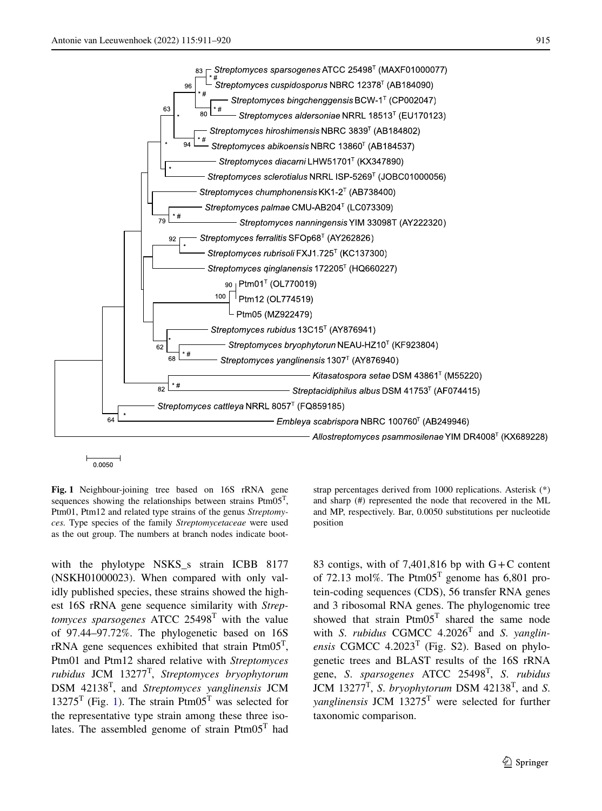96

63





0.0050

<span id="page-4-0"></span>**Fig. 1** Neighbour-joining tree based on 16S rRNA gene sequences showing the relationships between strains Ptm05T, Ptm01, Ptm12 and related type strains of the genus *Streptomyces.* Type species of the family *Streptomycetaceae* were used as the out group. The numbers at branch nodes indicate boot-

with the phylotype NSKS s strain ICBB 8177 (NSKH01000023). When compared with only validly published species, these strains showed the highest 16S rRNA gene sequence similarity with *Streptomyces sparsogenes* ATCC 25498T with the value of 97.44–97.72%. The phylogenetic based on 16S rRNA gene sequences exhibited that strain  $Ptm05<sup>T</sup>$ , Ptm01 and Ptm12 shared relative with *Streptomyces rubidus* JCM 13277T, *Streptomyces bryophytorum* DSM 42138T, and *Streptomyces yanglinensis* JCM  $13275<sup>T</sup>$  $13275<sup>T</sup>$  (Fig. 1). The strain Ptm05<sup>T</sup> was selected for the representative type strain among these three isolates. The assembled genome of strain  $Ptm05<sup>T</sup>$  had strap percentages derived from 1000 replications. Asterisk (\*) and sharp (#) represented the node that recovered in the ML and MP, respectively. Bar, 0.0050 substitutions per nucleotide position

83 contigs, with of 7,401,816 bp with  $G+C$  content of 72.13 mol%. The Ptm05<sup>T</sup> genome has 6,801 protein-coding sequences (CDS), 56 transfer RNA genes and 3 ribosomal RNA genes. The phylogenomic tree showed that strain  $Ptm05<sup>T</sup>$  shared the same node with *S*. *rubidus* CGMCC 4.2026T and *S*. *yanglinensis* CGMCC  $4.2023$ <sup>T</sup> (Fig. S2). Based on phylogenetic trees and BLAST results of the 16S rRNA gene, *S*. *sparsogenes* ATCC 25498T, *S*. *rubidus* JCM 13277T, *S*. *bryophytorum* DSM 42138T, and *S*. *yanglinensis* JCM 13275T were selected for further taxonomic comparison.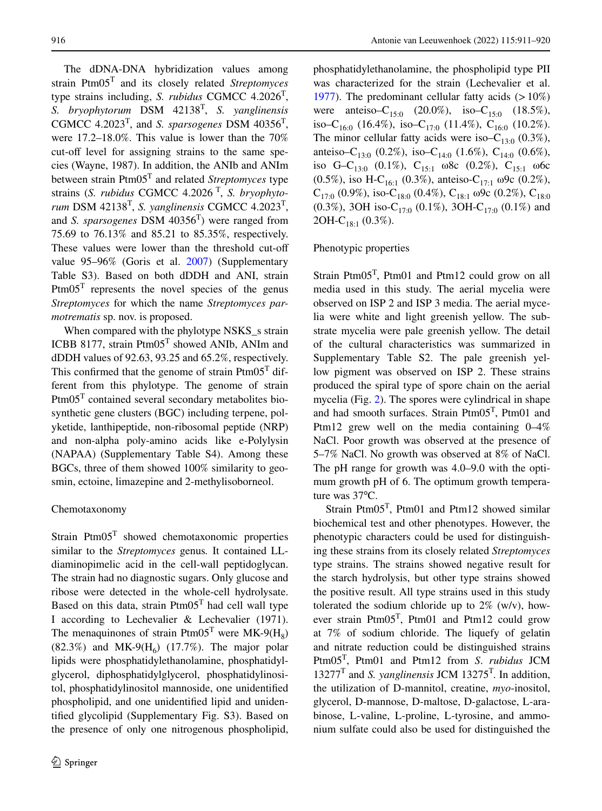The dDNA-DNA hybridization values among strain Ptm05T and its closely related *Streptomyces* type strains including, *S. rubidus* CGMCC 4.2026T, *S. bryophytorum* DSM 42138T, *S. yanglinensis* CGMCC 4.2023T, and *S. sparsogenes* DSM 40356T, were 17.2–18.0%. This value is lower than the 70% cut-off level for assigning strains to the same species (Wayne, 1987). In addition, the ANIb and ANIm between strain Ptm05T and related *Streptomyces* type strains (*S. rubidus* CGMCC 4.2026 T, *S. bryophytorum* DSM 42138T, *S. yanglinensis* CGMCC 4.2023T, and *S. sparsogenes* DSM 40356T) were ranged from 75.69 to 76.13% and 85.21 to 85.35%, respectively. These values were lower than the threshold cut-of value 95–96% (Goris et al. [2007](#page-8-18)) (Supplementary Table S3). Based on both dDDH and ANI, strain  $Ptm05<sup>T</sup>$  represents the novel species of the genus *Streptomyces* for which the name *Streptomyces parmotrematis* sp. nov. is proposed.

When compared with the phylotype NSKS\_s strain ICBB 8177, strain  $Ptm05<sup>T</sup>$  showed ANIb, ANIm and dDDH values of 92.63, 93.25 and 65.2%, respectively. This confirmed that the genome of strain  $Ptm05<sup>T</sup>$  different from this phylotype. The genome of strain Ptm05T contained several secondary metabolites biosynthetic gene clusters (BGC) including terpene, polyketide, lanthipeptide, non-ribosomal peptide (NRP) and non-alpha poly-amino acids like e-Polylysin (NAPAA) (Supplementary Table S4). Among these BGCs, three of them showed 100% similarity to geosmin, ectoine, limazepine and 2-methylisoborneol.

## Chemotaxonomy

Strain Ptm05T showed chemotaxonomic properties similar to the *Streptomyces* genus*.* It contained LLdiaminopimelic acid in the cell-wall peptidoglycan. The strain had no diagnostic sugars. Only glucose and ribose were detected in the whole-cell hydrolysate. Based on this data, strain  $Ptm05<sup>T</sup>$  had cell wall type I according to Lechevalier & Lechevalier (1971). The menaquinones of strain Ptm05<sup>T</sup> were MK-9( $H_8$ )  $(82.3\%)$  and MK-9(H<sub>6</sub>)  $(17.7\%)$ . The major polar lipids were phosphatidylethanolamine, phosphatidylglycerol, diphosphatidylglycerol, phosphatidylinositol, phosphatidylinositol mannoside, one unidentifed phospholipid, and one unidentifed lipid and unidentifed glycolipid (Supplementary Fig. S3). Based on the presence of only one nitrogenous phospholipid, phosphatidylethanolamine, the phospholipid type PII was characterized for the strain (Lechevalier et al. [1977\)](#page-8-19). The predominant cellular fatty acids  $(>10\%)$ were anteiso– $C_{15:0}$  (20.0%), iso– $C_{15:0}$  (18.5%), iso–C<sub>16:0</sub> (16.4%), iso–C<sub>17:0</sub> (11.4%), C<sub>16:0</sub> (10.2%). The minor cellular fatty acids were iso– $C_{13:0}$  (0.3%), anteiso–C<sub>13:0</sub> (0.2%), iso–C<sub>14:0</sub> (1.6%), C<sub>14:0</sub> (0.6%), iso G–C<sub>13:0</sub> (0.1%), C<sub>15:1</sub> ω8c (0.2%), C<sub>15:1</sub> ω6c (0.5%), iso H-C<sub>16:1</sub> (0.3%), anteiso-C<sub>17:1</sub> ω9c (0.2%), C<sub>17:0</sub> (0.9%), iso-C<sub>18:0</sub> (0.4%), C<sub>18:1</sub> ω9c (0.2%), C<sub>18:0</sub> (0.3%), 3OH iso-C<sub>17:0</sub> (0.1%), 3OH-C<sub>17:0</sub> (0.1%) and 2OH-C<sub>18:1</sub> (0.3%).

# Phenotypic properties

Strain Ptm $05<sup>T</sup>$ , Ptm $01$  and Ptm $12$  could grow on all media used in this study. The aerial mycelia were observed on ISP 2 and ISP 3 media. The aerial mycelia were white and light greenish yellow. The substrate mycelia were pale greenish yellow. The detail of the cultural characteristics was summarized in Supplementary Table S2. The pale greenish yellow pigment was observed on ISP 2. These strains produced the spiral type of spore chain on the aerial mycelia (Fig. [2](#page-6-0)). The spores were cylindrical in shape and had smooth surfaces. Strain Ptm05<sup>T</sup>, Ptm01 and Ptm12 grew well on the media containing 0–4% NaCl. Poor growth was observed at the presence of 5–7% NaCl. No growth was observed at 8% of NaCl. The pH range for growth was 4.0–9.0 with the optimum growth pH of 6. The optimum growth temperature was 37°C.

Strain Ptm05T, Ptm01 and Ptm12 showed similar biochemical test and other phenotypes. However, the phenotypic characters could be used for distinguishing these strains from its closely related *Streptomyces* type strains. The strains showed negative result for the starch hydrolysis, but other type strains showed the positive result. All type strains used in this study tolerated the sodium chloride up to  $2\%$  (w/v), however strain  $Ptm05<sup>T</sup>$ ,  $Ptm01$  and  $Ptm12$  could grow at 7% of sodium chloride. The liquefy of gelatin and nitrate reduction could be distinguished strains Ptm05T, Ptm01 and Ptm12 from *S*. *rubidus* JCM  $13277<sup>T</sup>$  and *S. yanglinensis* JCM  $13275<sup>T</sup>$ . In addition, the utilization of D-mannitol, creatine, *myo*-inositol, glycerol, D-mannose, D-maltose, D-galactose, L-arabinose, L-valine, L-proline, L-tyrosine, and ammonium sulfate could also be used for distinguished the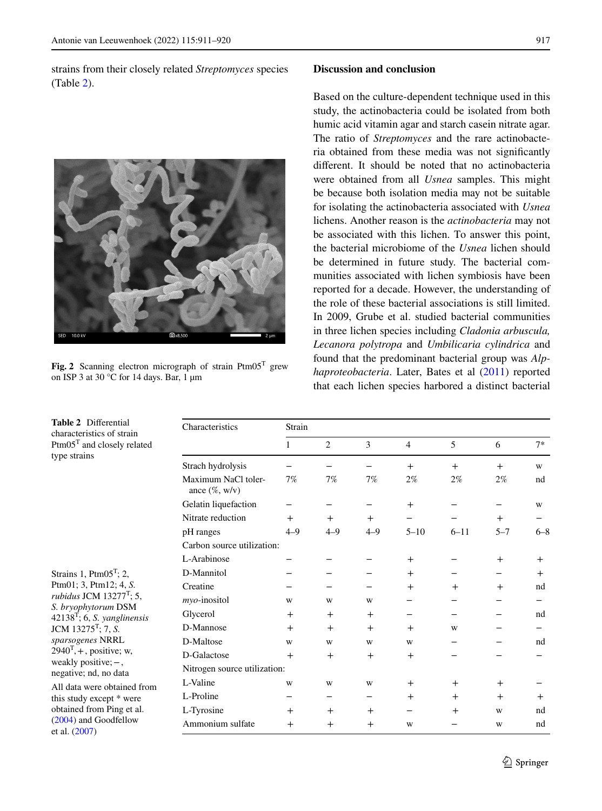strains from their closely related *Streptomyces* species (Table [2\)](#page-6-1).



**Fig. 2** Scanning electron micrograph of strain Ptm05T grew on ISP 3 at 30 °C for 14 days. Bar, 1  $\mu$ m

# **Discussion and conclusion**

Based on the culture-dependent technique used in this study, the actinobacteria could be isolated from both humic acid vitamin agar and starch casein nitrate agar. The ratio of *Streptomyces* and the rare actinobacteria obtained from these media was not signifcantly diferent. It should be noted that no actinobacteria were obtained from all *Usnea* samples. This might be because both isolation media may not be suitable for isolating the actinobacteria associated with *Usnea* lichens. Another reason is the *actinobacteria* may not be associated with this lichen. To answer this point, the bacterial microbiome of the *Usnea* lichen should be determined in future study. The bacterial communities associated with lichen symbiosis have been reported for a decade. However, the understanding of the role of these bacterial associations is still limited. In 2009, Grube et al. studied bacterial communities in three lichen species including *Cladonia arbuscula, Lecanora polytropa* and *Umbilicaria cylindrica* and found that the predominant bacterial group was *Alphaproteobacteria*. Later, Bates et al [\(2011](#page-8-2)) reported that each lichen species harbored a distinct bacterial

| Characteristics                         | Strain       |                |         |                |                |         |         |  |  |  |
|-----------------------------------------|--------------|----------------|---------|----------------|----------------|---------|---------|--|--|--|
|                                         | $\mathbf{1}$ | $\overline{c}$ | 3       | $\overline{4}$ | 5              | 6       | $7*$    |  |  |  |
| Strach hydrolysis                       |              |                |         | $+$            | $+$            | $+$     | W       |  |  |  |
| Maximum NaCl toler-<br>ance $(\%, w/v)$ | 7%           | 7%             | 7%      | $2\%$          | $2\%$          | $2\%$   | nd      |  |  |  |
| Gelatin liquefaction                    |              |                |         | $+$            |                |         | W       |  |  |  |
| Nitrate reduction                       | $+$          | $+$            | $+$     |                |                | $+$     |         |  |  |  |
| pH ranges                               | $4 - 9$      | $4 - 9$        | $4 - 9$ | $5 - 10$       | $6 - 11$       | $5 - 7$ | $6 - 8$ |  |  |  |
| Carbon source utilization:              |              |                |         |                |                |         |         |  |  |  |
| L-Arabinose                             |              |                |         | $+$            |                | $+$     | $+$     |  |  |  |
| D-Mannitol                              |              |                |         | $+$            |                |         | $+$     |  |  |  |
| Creatine                                |              |                |         | $^{+}$         | $+$            | $+$     | nd      |  |  |  |
| myo-inositol                            | W            | W              | W       |                |                |         |         |  |  |  |
| Glycerol                                | $+$          | $+$            | $+$     |                |                |         | nd      |  |  |  |
| D-Mannose                               | $+$          | $+$            | $+$     | $+$            | W              |         |         |  |  |  |
| D-Maltose                               | W            | W              | W       | W              |                |         | nd      |  |  |  |
| D-Galactose                             | $+$          | $+$            | $+$     | $+$            |                |         |         |  |  |  |
| Nitrogen source utilization:            |              |                |         |                |                |         |         |  |  |  |
| L-Valine                                | W            | W              | W       | $+$            | $\overline{+}$ | $+$     |         |  |  |  |
| L-Proline                               |              |                |         | $+$            | $+$            | $^{+}$  | $^{+}$  |  |  |  |
| L-Tyrosine                              | $+$          | $+$            | $^{+}$  |                | $^{+}$         | W       | nd      |  |  |  |
| Ammonium sulfate                        | $+$          | $+$            | $+$     | W              |                | W       | nd      |  |  |  |

<span id="page-6-1"></span><span id="page-6-0"></span>**Table 2** Diferential characteristics of strain Ptm05<sup>T</sup> and closely related type strains

Strains 1,  $Ptm05<sup>T</sup>$ ; 2, Ptm01; 3, Ptm12; 4, *S. rubidus* JCM 13277<sup>T</sup>; 5, *S. bryophytorum* DSM 42138T; 6, *S. yanglinensis* JCM 13275T; 7, *S. sparsogenes* NRRL  $2940<sup>T</sup>$ , +, positive; w, weakly positive;−, negative; nd, no data All data were obtained from

this study except \* were obtained from Ping et al. ([2004\)](#page-8-20) and Goodfellow et al. [\(2007](#page-8-21))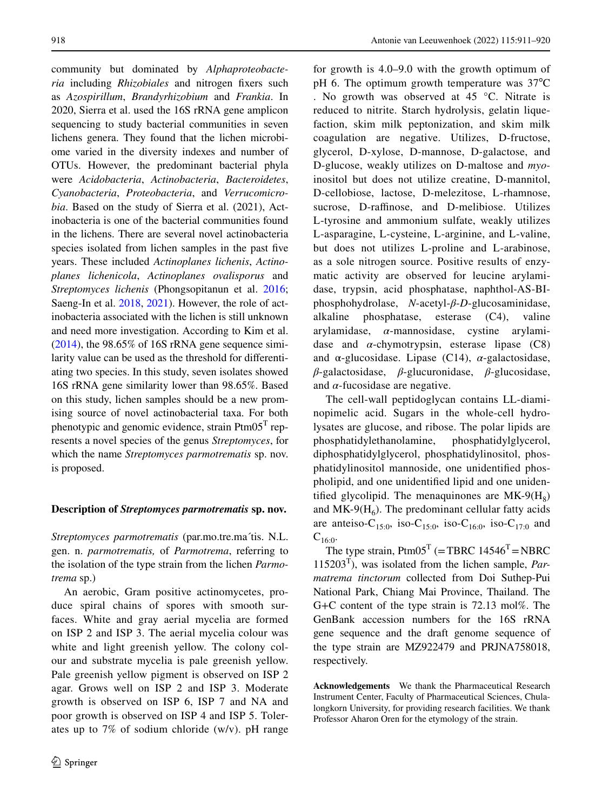community but dominated by *Alphaproteobacteria* including *Rhizobiales* and nitrogen fxers such as *Azospirillum*, *Brandyrhizobium* and *Frankia*. In 2020, Sierra et al. used the 16S rRNA gene amplicon sequencing to study bacterial communities in seven lichens genera. They found that the lichen microbiome varied in the diversity indexes and number of OTUs. However, the predominant bacterial phyla were *Acidobacteria*, *Actinobacteria*, *Bacteroidetes*, *Cyanobacteria*, *Proteobacteria*, and *Verrucomicrobia*. Based on the study of Sierra et al. (2021), Actinobacteria is one of the bacterial communities found in the lichens. There are several novel actinobacteria species isolated from lichen samples in the past fve years. These included *Actinoplanes lichenis*, *Actinoplanes lichenicola*, *Actinoplanes ovalisporus* and *Streptomyces lichenis* (Phongsopitanun et al. [2016](#page-8-3); Saeng-In et al. [2018](#page-8-4), [2021](#page-8-5)). However, the role of actinobacteria associated with the lichen is still unknown and need more investigation. According to Kim et al.  $(2014)$  $(2014)$ , the 98.65% of 16S rRNA gene sequence similarity value can be used as the threshold for diferentiating two species. In this study, seven isolates showed 16S rRNA gene similarity lower than 98.65%. Based on this study, lichen samples should be a new promising source of novel actinobacterial taxa. For both phenotypic and genomic evidence, strain  $Ptm05<sup>T</sup>$  represents a novel species of the genus *Streptomyces*, for which the name *Streptomyces parmotrematis* sp. nov. is proposed.

# **Description of** *Streptomyces parmotrematis* **sp. nov.**

*Streptomyces parmotrematis* (par.mo.tre.ma´tis. N.L. gen. n. *parmotrematis,* of *Parmotrema*, referring to the isolation of the type strain from the lichen *Parmotrema* sp.)

An aerobic, Gram positive actinomycetes, produce spiral chains of spores with smooth surfaces. White and gray aerial mycelia are formed on ISP 2 and ISP 3. The aerial mycelia colour was white and light greenish yellow. The colony colour and substrate mycelia is pale greenish yellow. Pale greenish yellow pigment is observed on ISP 2 agar. Grows well on ISP 2 and ISP 3. Moderate growth is observed on ISP 6, ISP 7 and NA and poor growth is observed on ISP 4 and ISP 5. Tolerates up to 7% of sodium chloride (w/v). pH range

for growth is 4.0–9.0 with the growth optimum of pH 6. The optimum growth temperature was 37°C . No growth was observed at 45 °C. Nitrate is reduced to nitrite. Starch hydrolysis, gelatin liquefaction, skim milk peptonization, and skim milk coagulation are negative. Utilizes, D-fructose, glycerol, D-xylose, D-mannose, D-galactose, and D-glucose, weakly utilizes on D-maltose and *myo*inositol but does not utilize creatine, D-mannitol, D-cellobiose, lactose, D-melezitose, L-rhamnose, sucrose, D-raffinose, and D-melibiose. Utilizes L-tyrosine and ammonium sulfate, weakly utilizes L-asparagine, L-cysteine, L-arginine, and L-valine, but does not utilizes L-proline and L-arabinose, as a sole nitrogen source. Positive results of enzymatic activity are observed for leucine arylamidase, trypsin, acid phosphatase, naphthol-AS-BIphosphohydrolase, *N*-acetyl-*β*-*D*-glucosaminidase, alkaline phosphatase, esterase (C4), valine arylamidase, *α*-mannosidase, cystine arylamidase and *α*-chymotrypsin, esterase lipase (C8) and  $\alpha$ -glucosidase. Lipase (C14),  $\alpha$ -galactosidase, *β*-galactosidase, *β*-glucuronidase, *β*-glucosidase, and  $\alpha$ -fucosidase are negative.

The cell-wall peptidoglycan contains LL-diaminopimelic acid. Sugars in the whole-cell hydrolysates are glucose, and ribose. The polar lipids are phosphatidylethanolamine, phosphatidylglycerol, diphosphatidylglycerol, phosphatidylinositol, phosphatidylinositol mannoside, one unidentifed phospholipid, and one unidentifed lipid and one unidentified glycolipid. The menaquinones are  $MK-9(H_8)$ and  $MK-9(H_6)$ . The predominant cellular fatty acids are anteiso-C<sub>15:0</sub>, iso-C<sub>15:0</sub>, iso-C<sub>16:0</sub>, iso-C<sub>17:0</sub> and  $C_{16:0}$ .

The type strain,  $Ptm05^T$  (=TBRC 14546<sup>T</sup> =NBRC 115203T), was isolated from the lichen sample, *Parmatrema tinctorum* collected from Doi Suthep-Pui National Park, Chiang Mai Province, Thailand. The G+C content of the type strain is 72.13 mol%. The GenBank accession numbers for the 16S rRNA gene sequence and the draft genome sequence of the type strain are MZ922479 and PRJNA758018, respectively.

**Acknowledgements** We thank the Pharmaceutical Research Instrument Center, Faculty of Pharmaceutical Sciences, Chulalongkorn University, for providing research facilities. We thank Professor Aharon Oren for the etymology of the strain.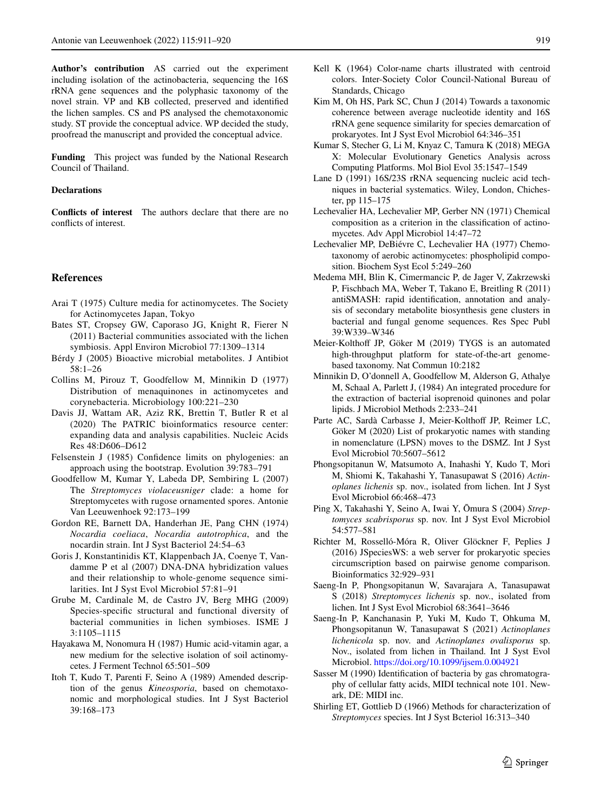**Author's contribution** AS carried out the experiment including isolation of the actinobacteria, sequencing the 16S rRNA gene sequences and the polyphasic taxonomy of the novel strain. VP and KB collected, preserved and identifed the lichen samples. CS and PS analysed the chemotaxonomic study. ST provide the conceptual advice. WP decided the study, proofread the manuscript and provided the conceptual advice.

**Funding** This project was funded by the National Research Council of Thailand.

## **Declarations**

**Conficts of interest** The authors declare that there are no conficts of interest.

#### **References**

- Arai T (1975) Culture media for actinomycetes. The Society for Actinomycetes Japan, Tokyo
- <span id="page-8-2"></span>Bates ST, Cropsey GW, Caporaso JG, Knight R, Fierer N (2011) Bacterial communities associated with the lichen symbiosis. Appl Environ Microbiol 77:1309–1314
- <span id="page-8-0"></span>Bérdy J (2005) Bioactive microbial metabolites. J Antibiot 58:1–26
- Collins M, Pirouz T, Goodfellow M, Minnikin D (1977) Distribution of menaquinones in actinomycetes and corynebacteria. Microbiology 100:221–230
- <span id="page-8-11"></span>Davis JJ, Wattam AR, Aziz RK, Brettin T, Butler R et al (2020) The PATRIC bioinformatics resource center: expanding data and analysis capabilities. Nucleic Acids Res 48:D606–D612
- <span id="page-8-10"></span>Felsenstein J (1985) Confdence limits on phylogenies: an approach using the bootstrap. Evolution 39:783–791
- <span id="page-8-21"></span>Goodfellow M, Kumar Y, Labeda DP, Sembiring L (2007) The *Streptomyces violaceusniger* clade: a home for Streptomycetes with rugose ornamented spores. Antonie Van Leeuwenhoek 92:173–199
- <span id="page-8-15"></span>Gordon RE, Barnett DA, Handerhan JE, Pang CHN (1974) *Nocardia coeliaca*, *Nocardia autotrophica*, and the nocardin strain. Int J Syst Bacteriol 24:54–63
- <span id="page-8-18"></span>Goris J, Konstantinidis KT, Klappenbach JA, Coenye T, Vandamme P et al (2007) DNA-DNA hybridization values and their relationship to whole-genome sequence similarities. Int J Syst Evol Microbiol 57:81–91
- Grube M, Cardinale M, de Castro JV, Berg MHG (2009) Species-specifc structural and functional diversity of bacterial communities in lichen symbioses. ISME J 3:1105–1115
- <span id="page-8-6"></span>Hayakawa M, Nonomura H (1987) Humic acid-vitamin agar, a new medium for the selective isolation of soil actinomycetes. J Ferment Technol 65:501–509
- <span id="page-8-14"></span>Itoh T, Kudo T, Parenti F, Seino A (1989) Amended description of the genus *Kineosporia*, based on chemotaxonomic and morphological studies. Int J Syst Bacteriol 39:168–173
- Kell K (1964) Color-name charts illustrated with centroid colors. Inter-Society Color Council-National Bureau of Standards, Chicago
- <span id="page-8-22"></span>Kim M, Oh HS, Park SC, Chun J (2014) Towards a taxonomic coherence between average nucleotide identity and 16S rRNA gene sequence similarity for species demarcation of prokaryotes. Int J Syst Evol Microbiol 64:346–351
- <span id="page-8-9"></span>Kumar S, Stecher G, Li M, Knyaz C, Tamura K (2018) MEGA X: Molecular Evolutionary Genetics Analysis across Computing Platforms. Mol Biol Evol 35:1547–1549
- <span id="page-8-8"></span>Lane D (1991) 16S/23S rRNA sequencing nucleic acid techniques in bacterial systematics. Wiley, London, Chichester, pp 115–175
- Lechevalier HA, Lechevalier MP, Gerber NN (1971) Chemical composition as a criterion in the classifcation of actinomycetes. Adv Appl Microbiol 14:47–72
- <span id="page-8-19"></span>Lechevalier MP, DeBiévre C, Lechevalier HA (1977) Chemotaxonomy of aerobic actinomycetes: phospholipid composition. Biochem Syst Ecol 5:249–260
- <span id="page-8-13"></span>Medema MH, Blin K, Cimermancic P, de Jager V, Zakrzewski P, Fischbach MA, Weber T, Takano E, Breitling R (2011) antiSMASH: rapid identifcation, annotation and analysis of secondary metabolite biosynthesis gene clusters in bacterial and fungal genome sequences. Res Spec Publ 39:W339–W346
- <span id="page-8-12"></span>Meier-Kolthoff JP, Göker M (2019) TYGS is an automated high-throughput platform for state-of-the-art genomebased taxonomy. Nat Commun 10:2182
- <span id="page-8-16"></span>Minnikin D, O'donnell A, Goodfellow M, Alderson G, Athalye M, Schaal A, Parlett J, (1984) An integrated procedure for the extraction of bacterial isoprenoid quinones and polar lipids. J Microbiol Methods 2:233–241
- <span id="page-8-1"></span>Parte AC, Sardà Carbasse J, Meier-Kolthoff JP, Reimer LC, Göker M (2020) List of prokaryotic names with standing in nomenclature (LPSN) moves to the DSMZ. Int J Syst Evol Microbiol 70:5607–5612
- <span id="page-8-3"></span>Phongsopitanun W, Matsumoto A, Inahashi Y, Kudo T, Mori M, Shiomi K, Takahashi Y, Tanasupawat S (2016) *Actinoplanes lichenis* sp. nov., isolated from lichen. Int J Syst Evol Microbiol 66:468–473
- <span id="page-8-20"></span>Ping X, Takahashi Y, Seino A, Iwai Y, Ōmura S (2004) *Streptomyces scabrisporus* sp. nov. Int J Syst Evol Microbiol 54:577–581
- Richter M, Rosselló-Móra R, Oliver Glöckner F, Peplies J (2016) JSpeciesWS: a web server for prokaryotic species circumscription based on pairwise genome comparison. Bioinformatics 32:929–931
- <span id="page-8-4"></span>Saeng-In P, Phongsopitanun W, Savarajara A, Tanasupawat S (2018) *Streptomyces lichenis* sp. nov., isolated from lichen. Int J Syst Evol Microbiol 68:3641–3646
- <span id="page-8-5"></span>Saeng-In P, Kanchanasin P, Yuki M, Kudo T, Ohkuma M, Phongsopitanun W, Tanasupawat S (2021) *Actinoplanes lichenicola* sp. nov. and *Actinoplanes ovalisporus* sp. Nov., isolated from lichen in Thailand. Int J Syst Evol Microbiol.<https://doi.org/10.1099/ijsem.0.004921>
- <span id="page-8-17"></span>Sasser M (1990) Identifcation of bacteria by gas chromatography of cellular fatty acids, MIDI technical note 101. Newark, DE: MIDI inc.
- <span id="page-8-7"></span>Shirling ET, Gottlieb D (1966) Methods for characterization of *Streptomyces* species. Int J Syst Bcteriol 16:313–340